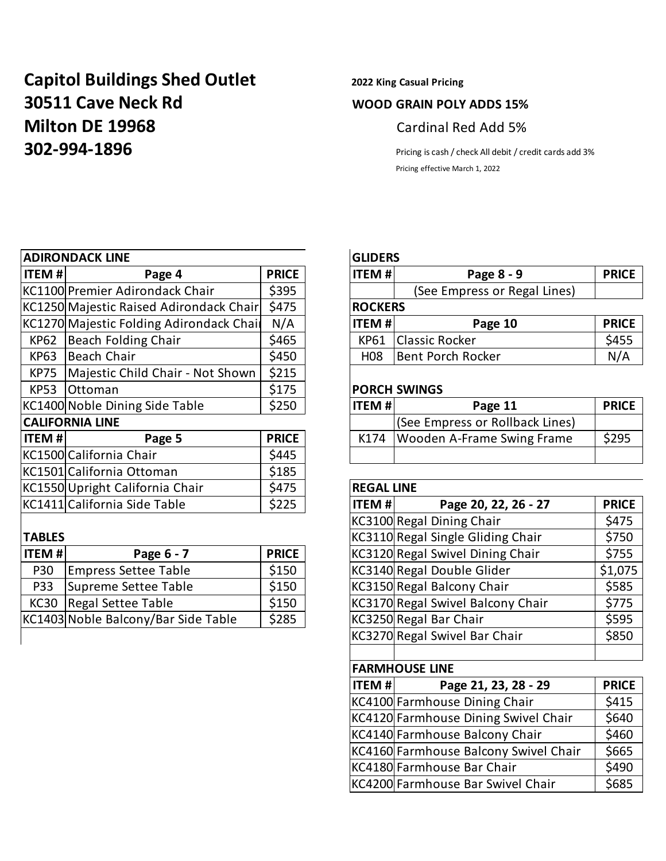# **Capitol Buildings Shed Outlet 2022 King Casual Pricing 30511 Cave Neck Rd WOOD GRAIN POLY ADDS 15% Milton DE 19968** Cardinal Red Add 5% **302-994-1896** Pricing is cash / check All debit / credit cards add 3%

Pricing effective March 1, 2022

|              | <b>ADIRONDACK LINE</b>                   |              |                   | <b>GLIDERS</b>                     |              |  |  |  |
|--------------|------------------------------------------|--------------|-------------------|------------------------------------|--------------|--|--|--|
| <b>ITEM#</b> | Page 4                                   | <b>PRICE</b> | <b>ITEM#</b>      | Page 8 - 9                         | <b>PRICI</b> |  |  |  |
|              | KC1100 Premier Adirondack Chair          | \$395        |                   | (See Empress or Regal Lines)       |              |  |  |  |
|              | KC1250 Majestic Raised Adirondack Chair  | \$475        | <b>ROCKERS</b>    |                                    |              |  |  |  |
|              | KC1270 Majestic Folding Adirondack Chail | N/A          | <b>ITEM#</b>      | Page 10                            | <b>PRICI</b> |  |  |  |
| KP62         | <b>Beach Folding Chair</b>               | \$465        | <b>KP61</b>       | <b>Classic Rocker</b>              | \$455        |  |  |  |
| <b>KP63</b>  | Beach Chair                              | \$450        | H08               | <b>Bent Porch Rocker</b>           | N/A          |  |  |  |
| <b>KP75</b>  | Majestic Child Chair - Not Shown         | \$215        |                   |                                    |              |  |  |  |
| <b>KP53</b>  | Ottoman                                  | \$175        |                   | <b>PORCH SWINGS</b>                |              |  |  |  |
|              | KC1400 Noble Dining Side Table           | \$250        | <b>ITEM#</b>      | Page 11                            | <b>PRICI</b> |  |  |  |
|              | <b>CALIFORNIA LINE</b>                   |              |                   | (See Empress or Rollback Lines)    |              |  |  |  |
| <b>ITEM#</b> | Page 5                                   | <b>PRICE</b> | K174              | Wooden A-Frame Swing Frame         | \$295        |  |  |  |
|              | KC1500 California Chair                  | \$445        |                   |                                    |              |  |  |  |
|              | KC1501 California Ottoman                | \$185        |                   |                                    |              |  |  |  |
|              | KC1550 Upright California Chair          | \$475        | <b>REGAL LINE</b> |                                    |              |  |  |  |
|              | KC1411 California Side Table             | \$225        | <b>ITEM #</b>     | Page 20, 22, 26 - 27               | <b>PRICI</b> |  |  |  |
|              |                                          |              |                   | KC3100 Regal Dining Chair          | \$475        |  |  |  |
| <b>TADIC</b> |                                          |              |                   | KC3110 Bossel Single Cliding Chair | ぐつこと         |  |  |  |

| <b>ITEM#</b><br>Page 6 - 7  |                                                                                          |  |  |  |  |  |  |
|-----------------------------|------------------------------------------------------------------------------------------|--|--|--|--|--|--|
|                             | \$150                                                                                    |  |  |  |  |  |  |
| Supreme Settee Table<br>P33 |                                                                                          |  |  |  |  |  |  |
|                             | \$150                                                                                    |  |  |  |  |  |  |
|                             | \$285                                                                                    |  |  |  |  |  |  |
|                             | <b>Empress Settee Table</b><br>Regal Settee Table<br>KC1403 Noble Balcony/Bar Side Table |  |  |  |  |  |  |

# **ADIRONDACK LINE GLIDERS**

| <b>ITEM #</b> | Page 4                                   | <b>PRICE</b> | litem #l         | Page 8 - 9                   | <b>PRICE</b> |  |  |
|---------------|------------------------------------------|--------------|------------------|------------------------------|--------------|--|--|
|               | KC1100 Premier Adirondack Chair          | \$395        |                  | (See Empress or Regal Lines) |              |  |  |
|               | KC1250 Majestic Raised Adirondack Chair  | \$475        |                  | <b>ROCKERS</b>               |              |  |  |
|               | KC1270 Majestic Folding Adirondack Chail | N/A          | <b>ITEM#</b>     | Page 10                      | <b>PRICE</b> |  |  |
| KP62          | Beach Folding Chair                      | \$465        | KP61             | <b>Classic Rocker</b>        | \$455        |  |  |
| <b>KP63</b>   | Beach Chair                              | \$450        | H <sub>0</sub> 8 | Bent Porch Rocker            | N/A          |  |  |
|               |                                          |              |                  |                              |              |  |  |

# **PORCH SWINGS**

| KC1400 Noble Dining Side Table |                         | \$250        | $ $ ITEM # | Page 11                         | <b>PRICE</b> |
|--------------------------------|-------------------------|--------------|------------|---------------------------------|--------------|
| <b>CALIFORNIA LINE</b>         |                         |              |            | (See Empress or Rollback Lines) |              |
| <b>ITEM#I</b>                  | Page 5                  | <b>PRICE</b> | K174       | Wooden A-Frame Swing Frame      | \$295        |
|                                | KC1500 California Chair | \$445        |            |                                 |              |

# **REGAL LINE ITEM #** Page 20, 22, 26 - 27 PRICE  $|KC3100|$ Regal Dining Chair  $|$ \$475 **TABLES** TABLES **TABLES EXECUTE:**  $KC3110$  Regal Single Gliding Chair **\$750 IXC3120 Regal Swivel Dining Chair** | \$755  $|KC3140|$ Regal Double Glider  $|51,075|$  $|KC3150|$ Regal Balcony Chair  $|$ \$585  $KC3170$  Regal Swivel Balcony Chair  $\Big|$  \$775  $|KC3250|$ Regal Bar Chair  $|$ \$595 KC3270 Regal Swivel Bar Chair **19850**

# **FARMHOUSE LINE**

| ITEM# | Page 21, 23, 28 - 29                  | <b>PRICE</b> |  |  |  |  |  |
|-------|---------------------------------------|--------------|--|--|--|--|--|
|       | KC4100 Farmhouse Dining Chair         |              |  |  |  |  |  |
|       | KC4120 Farmhouse Dining Swivel Chair  | \$640        |  |  |  |  |  |
|       | KC4140 Farmhouse Balcony Chair        | \$460        |  |  |  |  |  |
|       | KC4160 Farmhouse Balcony Swivel Chair |              |  |  |  |  |  |
|       | KC4180 Farmhouse Bar Chair            | \$490        |  |  |  |  |  |
|       | KC4200 Farmhouse Bar Swivel Chair     | \$685        |  |  |  |  |  |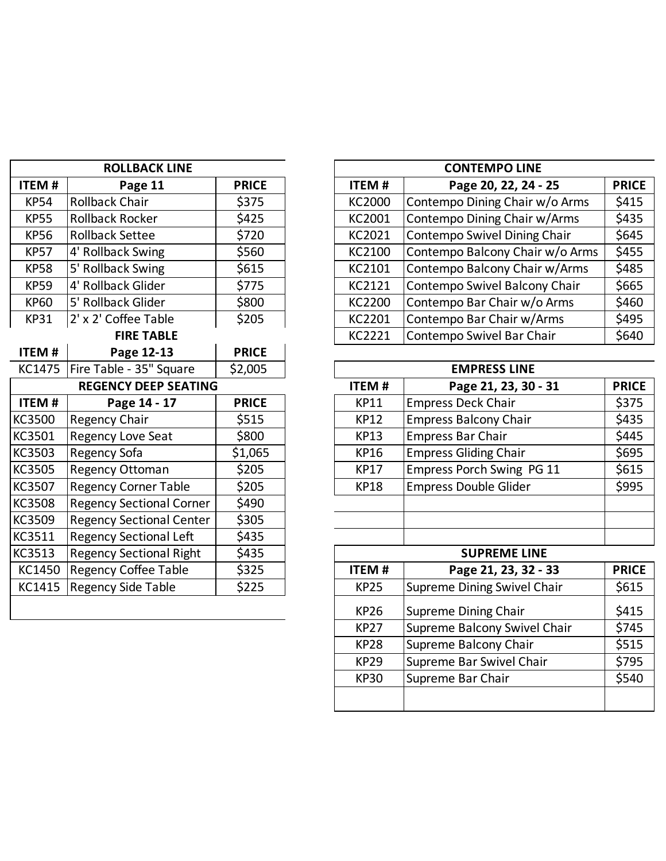|               | <b>ROLLBACK LINE</b>            |              |
|---------------|---------------------------------|--------------|
| <b>ITEM#</b>  | Page 11                         | <b>PRICE</b> |
| <b>KP54</b>   | <b>Rollback Chair</b>           | \$375        |
| <b>KP55</b>   | <b>Rollback Rocker</b>          | \$425        |
| <b>KP56</b>   | <b>Rollback Settee</b>          | \$720        |
| <b>KP57</b>   | 4' Rollback Swing               | \$560        |
| <b>KP58</b>   | 5' Rollback Swing               | \$615        |
| <b>KP59</b>   | 4' Rollback Glider              | \$775        |
| <b>KP60</b>   | 5' Rollback Glider              | \$800        |
| <b>KP31</b>   | 2' x 2' Coffee Table            | \$205        |
|               | <b>FIRE TABLE</b>               |              |
| <b>ITEM#</b>  | Page 12-13                      | <b>PRICE</b> |
| KC1475        | Fire Table - 35" Square         | \$2,005      |
|               | <b>REGENCY DEEP SEATING</b>     |              |
| <b>ITEM#</b>  | Page 14 - 17                    | <b>PRICE</b> |
| KC3500        | <b>Regency Chair</b>            | \$515        |
| KC3501        | <b>Regency Love Seat</b>        | \$800        |
| KC3503        | Regency Sofa                    | \$1,065      |
| KC3505        | Regency Ottoman                 | \$205        |
| KC3507        | <b>Regency Corner Table</b>     | \$205        |
| <b>KC3508</b> | <b>Regency Sectional Corner</b> | \$490        |
| KC3509        | <b>Regency Sectional Center</b> | \$305        |
| KC3511        | <b>Regency Sectional Left</b>   | \$435        |
| KC3513        | <b>Regency Sectional Right</b>  | \$435        |
| KC1450        | <b>Regency Coffee Table</b>     | \$325        |
| KC1415        | <b>Regency Side Table</b>       | \$225        |
|               |                                 |              |

|             | <b>ROLLBACK LINE</b>   |              |               | <b>CONTEMPO LINE</b>            |              |  |  |  |
|-------------|------------------------|--------------|---------------|---------------------------------|--------------|--|--|--|
| ITEM #      | Page 11                | <b>PRICE</b> | <b>ITEM#</b>  | Page 20, 22, 24 - 25            | <b>PRICE</b> |  |  |  |
| <b>KP54</b> | <b>Rollback Chair</b>  | \$375        | <b>KC2000</b> | Contempo Dining Chair w/o Arms  | \$415        |  |  |  |
| <b>KP55</b> | Rollback Rocker        | \$425        | KC2001        | Contempo Dining Chair w/Arms    | \$435        |  |  |  |
| <b>KP56</b> | <b>Rollback Settee</b> | \$720        | KC2021        | Contempo Swivel Dining Chair    | \$645        |  |  |  |
| <b>KP57</b> | 4' Rollback Swing      | \$560        | KC2100        | Contempo Balcony Chair w/o Arms | \$455        |  |  |  |
| <b>KP58</b> | 5' Rollback Swing      | \$615        | KC2101        | Contempo Balcony Chair w/Arms   | \$485        |  |  |  |
| <b>KP59</b> | 4' Rollback Glider     | \$775        | KC2121        | Contempo Swivel Balcony Chair   | \$665        |  |  |  |
| <b>KP60</b> | 5' Rollback Glider     | \$800        | KC2200        | Contempo Bar Chair w/o Arms     | \$460        |  |  |  |
| <b>KP31</b> | 2' x 2' Coffee Table   | \$205        | KC2201        | Contempo Bar Chair w/Arms       | \$495        |  |  |  |
|             | <b>FIRE TABLE</b>      |              | KC2221        | Contempo Swivel Bar Chair       | \$640        |  |  |  |

| KC1475                      | Fire Table - 35" Square         | \$2,005      | <b>EMPRESS LINE</b> |                              |              |  |
|-----------------------------|---------------------------------|--------------|---------------------|------------------------------|--------------|--|
| <b>REGENCY DEEP SEATING</b> |                                 |              | <b>ITEM#</b>        | Page 21, 23, 30 - 31         | <b>PRICE</b> |  |
| ITEM #                      | Page 14 - 17                    | <b>PRICE</b> | <b>KP11</b>         | <b>Empress Deck Chair</b>    | \$375        |  |
| KC3500                      | <b>Regency Chair</b>            | \$515        | <b>KP12</b>         | <b>Empress Balcony Chair</b> | \$435        |  |
| KC3501                      | <b>Regency Love Seat</b>        | \$800        | <b>KP13</b>         | <b>Empress Bar Chair</b>     | \$445        |  |
| KC3503                      | Regency Sofa                    | \$1,065      | KP16                | <b>Empress Gliding Chair</b> | \$695        |  |
| KC3505                      | <b>Regency Ottoman</b>          | \$205        | <b>KP17</b>         | Empress Porch Swing PG 11    | \$615        |  |
| KC3507                      | <b>Regency Corner Table</b>     | \$205        | <b>KP18</b>         | <b>Empress Double Glider</b> | \$995        |  |
| KC3508                      | <b>Regency Sectional Corner</b> | \$490        |                     |                              |              |  |
| KC3509                      | <b>Regency Sectional Center</b> | \$305        |                     |                              |              |  |
| KC3511                      | <b>Regency Sectional Left</b>   | \$435        |                     |                              |              |  |
| KC3513                      | <b>Regency Sectional Right</b>  | \$435        |                     | <b>SUPREME LINE</b>          |              |  |

| 、しししょし | <b>INCRUTICY JULIUS IN INSITE</b> | ーー    |              | JUI IILIVIL LIIVL            |              |
|--------|-----------------------------------|-------|--------------|------------------------------|--------------|
|        | KC1450 Regency Coffee Table       | \$325 | <b>ITEM#</b> | Page 21, 23, 32 - 33         | <b>PRICE</b> |
|        | KC1415   Regency Side Table       | \$225 | <b>KP25</b>  | Supreme Dining Swivel Chair  | \$615        |
|        |                                   |       | KP26         | Supreme Dining Chair         | \$415        |
|        |                                   |       | <b>KP27</b>  | Supreme Balcony Swivel Chair | \$745        |
|        |                                   |       | KP28         | Supreme Balcony Chair        | \$515        |
|        |                                   |       | <b>KP29</b>  | Supreme Bar Swivel Chair     | \$795        |
|        |                                   |       | <b>KP30</b>  | Supreme Bar Chair            | \$540        |
|        |                                   |       |              |                              |              |
|        |                                   |       |              |                              |              |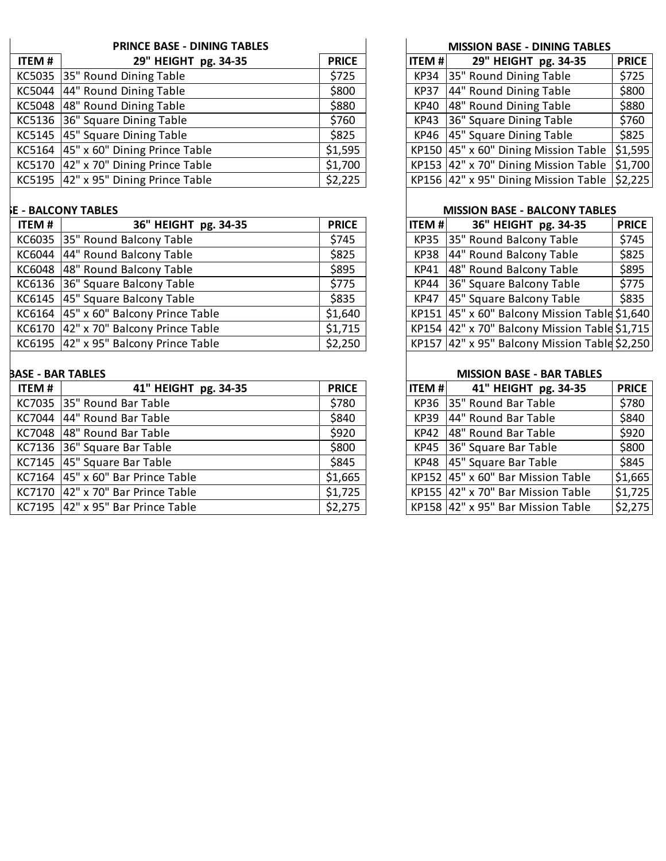|              | <b>PRINCE BASE - DINING TABLES</b>           |              |               | <b>MISSION BASE - DINING TABLES</b>                     |              |
|--------------|----------------------------------------------|--------------|---------------|---------------------------------------------------------|--------------|
| <b>ITEM#</b> | 29" HEIGHT pg. 34-35                         | <b>PRICE</b> | <b>ITEM#I</b> | 29" HEIGHT pg. 34-35                                    | <b>PRICE</b> |
|              | KC5035 35" Round Dining Table                | \$725        |               | KP34 35" Round Dining Table                             | \$725        |
|              | KC5044 44" Round Dining Table                | \$800        | <b>KP37</b>   | 44" Round Dining Table                                  | \$800        |
|              | KC5048 48" Round Dining Table                | \$880        |               | KP40 48" Round Dining Table                             | \$880        |
|              | KC5136 36" Square Dining Table               | \$760        |               | KP43 36" Square Dining Table                            | \$760        |
|              | KC5145 45" Square Dining Table               | \$825        |               | KP46 45" Square Dining Table                            | \$825        |
|              | KC5164 $ 45" \times 60"$ Dining Prince Table | \$1,595      |               | KP150 $ 45" \times 60"$ Dining Mission Table            | 51,595       |
|              | KC5170 $ 42" \times 70"$ Dining Prince Table | \$1,700      |               | KP153 42" x 70" Dining Mission Table                    | \$1,700      |
|              | KC5195 $ 42" \times 95"$ Dining Prince Table | \$2,225      |               | KP156 42" x 95" Dining Mission Table $\frac{1}{2}$ ,225 |              |

# **F - BALCONY TABLES**

| <b>ITEM#</b> | 36" HEIGHT pg. 34-35                  | <b>PRICE</b> | <b>ITEM#</b> | 36" HEIGHT pg. 34-35                          | <b>PRICE</b> |
|--------------|---------------------------------------|--------------|--------------|-----------------------------------------------|--------------|
|              | KC6035 35" Round Balcony Table        | \$745        |              | KP35 35" Round Balcony Table                  | \$745        |
|              | KC6044 44" Round Balcony Table        | \$825        |              | KP38 44" Round Balcony Table                  | \$825        |
|              | KC6048 48" Round Balcony Table        | \$895        |              | KP41 48" Round Balcony Table                  | \$895        |
|              | KC6136 36" Square Balcony Table       | \$775        |              | KP44 36" Square Balcony Table                 | \$775        |
|              | KC6145 45" Square Balcony Table       | \$835        |              | KP47 45" Square Balcony Table                 | \$835        |
|              | KC6164 45" x 60" Balcony Prince Table | \$1,640      |              | KP151 45" x 60" Balcony Mission Table \$1,640 |              |
|              | KC6170 42" x 70" Balcony Prince Table | \$1,715      |              | KP154 42" x 70" Balcony Mission Table \$1,715 |              |
|              | KC6195 42" x 95" Balcony Prince Table | \$2,250      |              | KP157 42" x 95" Balcony Mission Table \$2,250 |              |

# **BASE - BAR TABLES**

| ITEM # | 41" HEIGHT pg. 34-35                      | <b>PRICE</b> | <b>ITEM#</b> | 41" HEIGHT pg. 34-35               | <b>PRICE</b> |
|--------|-------------------------------------------|--------------|--------------|------------------------------------|--------------|
|        | KC7035 35" Round Bar Table                | \$780        |              | KP36 35" Round Bar Table           | \$780        |
|        | KC7044 44" Round Bar Table                | \$840        |              | KP39 44" Round Bar Table           | \$840        |
|        | KC7048 48" Round Bar Table                | \$920        |              | KP42 48" Round Bar Table           | \$920        |
|        | KC7136 36" Square Bar Table               | \$800        |              | KP45 36" Square Bar Table          | \$800        |
|        | KC7145 45" Square Bar Table               | \$845        |              | KP48 45" Square Bar Table          | \$845        |
|        | KC7164 $ 45" \times 60"$ Bar Prince Table | \$1,665      |              | KP152  45" x 60" Bar Mission Table | \$1,665      |
|        | KC7170 42" x 70" Bar Prince Table         | \$1,725      |              | KP155 42" x 70" Bar Mission Table  | \$1,725      |
|        | KC7195 $ 42" \times 95"$ Bar Prince Table | \$2,275      |              | KP158 42" x 95" Bar Mission Table  | \$2,275      |

### **MISSION BASE - DINING TABLES**

| <b>ITEM#</b> | 29" HEIGHT pg. 34-35                 | <b>PRICE</b> |
|--------------|--------------------------------------|--------------|
| <b>KP34</b>  | 35" Round Dining Table               | \$725        |
| <b>KP37</b>  | 44" Round Dining Table               | \$800        |
| <b>KP40</b>  | 48" Round Dining Table               | \$880        |
| <b>KP43</b>  | 36" Square Dining Table              | \$760        |
| <b>KP46</b>  | 45" Square Dining Table              | \$825        |
|              | KP150 45" x 60" Dining Mission Table | 51,595       |
|              | KP153 42" x 70" Dining Mission Table | \$1,700      |
|              | KP156 42" x 95" Dining Mission Table | 52,225       |

# **MISSION BASE - BALCONY TABLES**

| <b>ITEM#</b> | 36" HEIGHT pg. 34-35                          | <b>PRICE</b> |
|--------------|-----------------------------------------------|--------------|
| <b>KP35</b>  | 35" Round Balcony Table                       | \$745        |
| <b>KP38</b>  | 44" Round Balcony Table                       | \$825        |
| <b>KP41</b>  | 48" Round Balcony Table                       | \$895        |
| <b>KP44</b>  | 36" Square Balcony Table                      | \$775        |
| <b>KP47</b>  | 45" Square Balcony Table                      | \$835        |
| KP151        | 45" x 60" Balcony Mission Table \$1,640       |              |
|              | KP154 42" x 70" Balcony Mission Table \$1,715 |              |
|              | KP157 42" x 95" Balcony Mission Table \$2,250 |              |

### **MISSION BASE - BAR TABLES**

| <b>ITEM#</b> | 41" HEIGHT pg. 34-35              | <b>PRICE</b> |
|--------------|-----------------------------------|--------------|
| <b>KP36</b>  | 35" Round Bar Table               | \$780        |
| <b>KP39</b>  | 44" Round Bar Table               | \$840        |
| <b>KP42</b>  | 48" Round Bar Table               | \$920        |
|              | KP45 36" Square Bar Table         | \$800        |
| <b>KP48</b>  | 45" Square Bar Table              | \$845        |
|              | KP152 45" x 60" Bar Mission Table | \$1,665      |
|              | KP155 42" x 70" Bar Mission Table | \$1,725      |
|              | KP158 42" x 95" Bar Mission Table | \$2,275      |